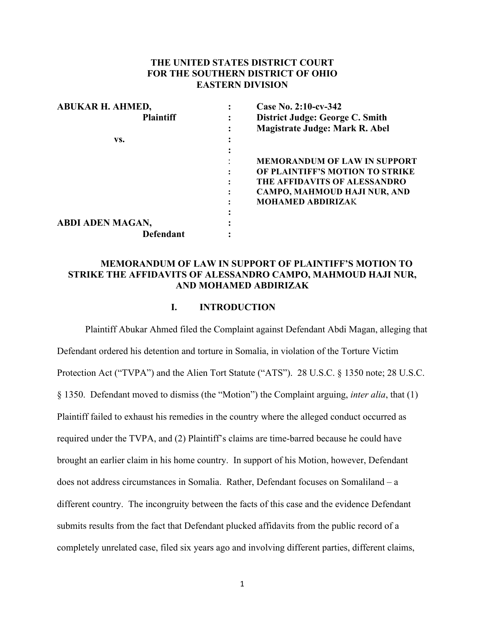## **THE UNITED STATES DISTRICT COURT FOR THE SOUTHERN DISTRICT OF OHIO EASTERN DIVISION**

| <b>ABUKAR H. AHMED,</b> | Case No. 2:10-cv-342                |
|-------------------------|-------------------------------------|
| <b>Plaintiff</b>        | District Judge: George C. Smith     |
|                         | Magistrate Judge: Mark R. Abel      |
| VS.                     |                                     |
|                         |                                     |
|                         | <b>MEMORANDUM OF LAW IN SUPPORT</b> |
|                         | OF PLAINTIFF'S MOTION TO STRIKE     |
|                         | THE AFFIDAVITS OF ALESSANDRO        |
|                         | CAMPO, MAHMOUD HAJI NUR, AND        |
|                         | <b>MOHAMED ABDIRIZAK</b>            |
|                         |                                     |
| <b>ABDI ADEN MAGAN,</b> |                                     |
| <b>Defendant</b>        |                                     |
|                         |                                     |

## **MEMORANDUM OF LAW IN SUPPORT OF PLAINTIFF'S MOTION TO STRIKE THE AFFIDAVITS OF ALESSANDRO CAMPO, MAHMOUD HAJI NUR, AND MOHAMED ABDIRIZAK**

## **I. INTRODUCTION**

Plaintiff Abukar Ahmed filed the Complaint against Defendant Abdi Magan, alleging that Defendant ordered his detention and torture in Somalia, in violation of the Torture Victim Protection Act ("TVPA") and the Alien Tort Statute ("ATS"). 28 U.S.C. § 1350 note; 28 U.S.C. § 1350. Defendant moved to dismiss (the "Motion") the Complaint arguing, *inter alia*, that (1) Plaintiff failed to exhaust his remedies in the country where the alleged conduct occurred as required under the TVPA, and (2) Plaintiff's claims are time-barred because he could have brought an earlier claim in his home country. In support of his Motion, however, Defendant does not address circumstances in Somalia. Rather, Defendant focuses on Somaliland – a different country. The incongruity between the facts of this case and the evidence Defendant submits results from the fact that Defendant plucked affidavits from the public record of a completely unrelated case, filed six years ago and involving different parties, different claims,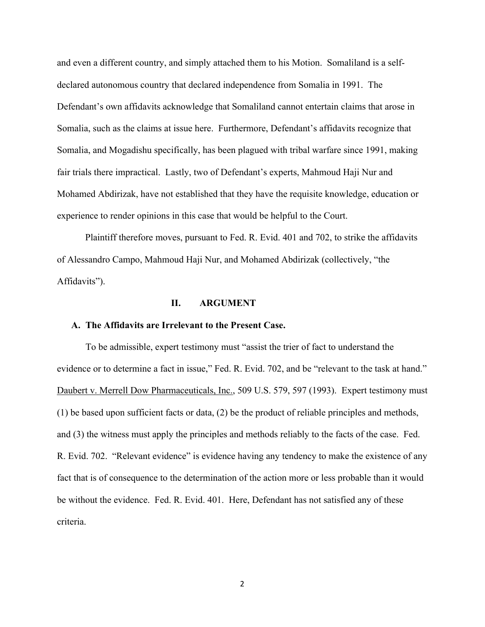and even a different country, and simply attached them to his Motion. Somaliland is a selfdeclared autonomous country that declared independence from Somalia in 1991. The Defendant's own affidavits acknowledge that Somaliland cannot entertain claims that arose in Somalia, such as the claims at issue here. Furthermore, Defendant's affidavits recognize that Somalia, and Mogadishu specifically, has been plagued with tribal warfare since 1991, making fair trials there impractical. Lastly, two of Defendant's experts, Mahmoud Haji Nur and Mohamed Abdirizak, have not established that they have the requisite knowledge, education or experience to render opinions in this case that would be helpful to the Court.

Plaintiff therefore moves, pursuant to Fed. R. Evid. 401 and 702, to strike the affidavits of Alessandro Campo, Mahmoud Haji Nur, and Mohamed Abdirizak (collectively, "the Affidavits").

#### **II. ARGUMENT**

#### **A. The Affidavits are Irrelevant to the Present Case.**

To be admissible, expert testimony must "assist the trier of fact to understand the evidence or to determine a fact in issue," Fed. R. Evid. 702, and be "relevant to the task at hand." Daubert v. Merrell Dow Pharmaceuticals, Inc., 509 U.S. 579, 597 (1993). Expert testimony must (1) be based upon sufficient facts or data, (2) be the product of reliable principles and methods, and (3) the witness must apply the principles and methods reliably to the facts of the case. Fed. R. Evid. 702. "Relevant evidence" is evidence having any tendency to make the existence of any fact that is of consequence to the determination of the action more or less probable than it would be without the evidence. Fed. R. Evid. 401. Here, Defendant has not satisfied any of these criteria.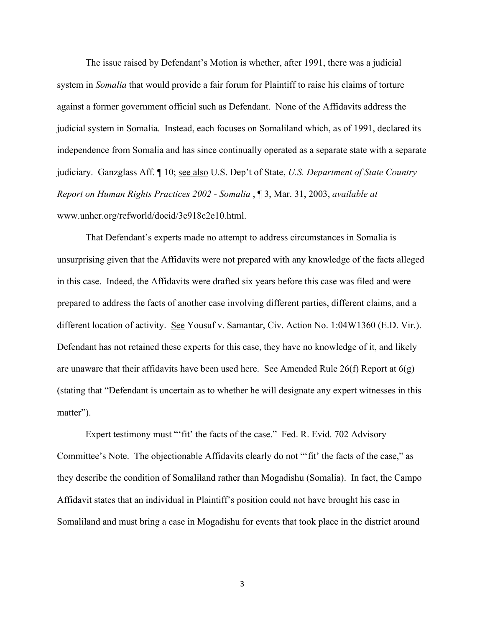The issue raised by Defendant's Motion is whether, after 1991, there was a judicial system in *Somalia* that would provide a fair forum for Plaintiff to raise his claims of torture against a former government official such as Defendant. None of the Affidavits address the judicial system in Somalia. Instead, each focuses on Somaliland which, as of 1991, declared its independence from Somalia and has since continually operated as a separate state with a separate judiciary. Ganzglass Aff. ¶ 10; see also U.S. Dep't of State, *U.S. Department of State Country Report on Human Rights Practices 2002 - Somalia* , ¶ 3, Mar. 31, 2003, *available at* www.unhcr.org/refworld/docid/3e918c2e10.html.

That Defendant's experts made no attempt to address circumstances in Somalia is unsurprising given that the Affidavits were not prepared with any knowledge of the facts alleged in this case. Indeed, the Affidavits were drafted six years before this case was filed and were prepared to address the facts of another case involving different parties, different claims, and a different location of activity. See Yousuf v. Samantar, Civ. Action No. 1:04W1360 (E.D. Vir.). Defendant has not retained these experts for this case, they have no knowledge of it, and likely are unaware that their affidavits have been used here. See Amended Rule 26(f) Report at  $6(g)$ (stating that "Defendant is uncertain as to whether he will designate any expert witnesses in this matter").

Expert testimony must ""fit' the facts of the case." Fed. R. Evid. 702 Advisory Committee's Note. The objectionable Affidavits clearly do not "'fit' the facts of the case," as they describe the condition of Somaliland rather than Mogadishu (Somalia). In fact, the Campo Affidavit states that an individual in Plaintiff's position could not have brought his case in Somaliland and must bring a case in Mogadishu for events that took place in the district around

3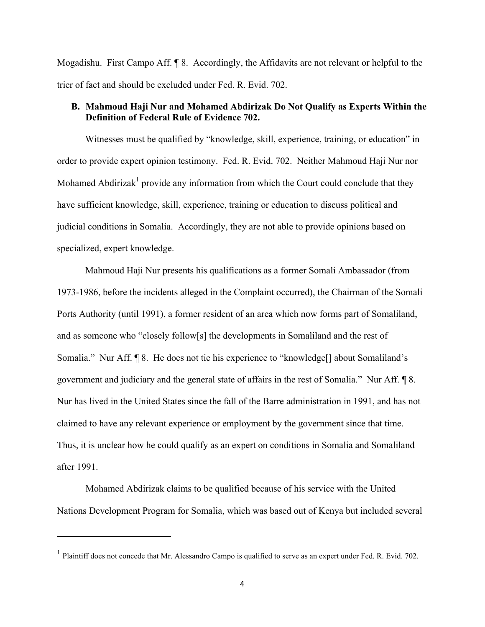Mogadishu. First Campo Aff. ¶ 8. Accordingly, the Affidavits are not relevant or helpful to the trier of fact and should be excluded under Fed. R. Evid. 702.

# **B. Mahmoud Haji Nur and Mohamed Abdirizak Do Not Qualify as Experts Within the Definition of Federal Rule of Evidence 702.**

Witnesses must be qualified by "knowledge, skill, experience, training, or education" in order to provide expert opinion testimony. Fed. R. Evid. 702. Neither Mahmoud Haji Nur nor Mohamed Abdirizak<sup>1</sup> provide any information from which the Court could conclude that they have sufficient knowledge, skill, experience, training or education to discuss political and judicial conditions in Somalia. Accordingly, they are not able to provide opinions based on specialized, expert knowledge.

Mahmoud Haji Nur presents his qualifications as a former Somali Ambassador (from 1973-1986, before the incidents alleged in the Complaint occurred), the Chairman of the Somali Ports Authority (until 1991), a former resident of an area which now forms part of Somaliland, and as someone who "closely follow[s] the developments in Somaliland and the rest of Somalia." Nur Aff. ¶ 8. He does not tie his experience to "knowledge[] about Somaliland's government and judiciary and the general state of affairs in the rest of Somalia." Nur Aff. ¶ 8. Nur has lived in the United States since the fall of the Barre administration in 1991, and has not claimed to have any relevant experience or employment by the government since that time. Thus, it is unclear how he could qualify as an expert on conditions in Somalia and Somaliland after 1991.

Mohamed Abdirizak claims to be qualified because of his service with the United Nations Development Program for Somalia, which was based out of Kenya but included several

<u> 1989 - Johann Stein, fransk politik (d. 1989)</u>

<sup>&</sup>lt;sup>1</sup> Plaintiff does not concede that Mr. Alessandro Campo is qualified to serve as an expert under Fed. R. Evid. 702.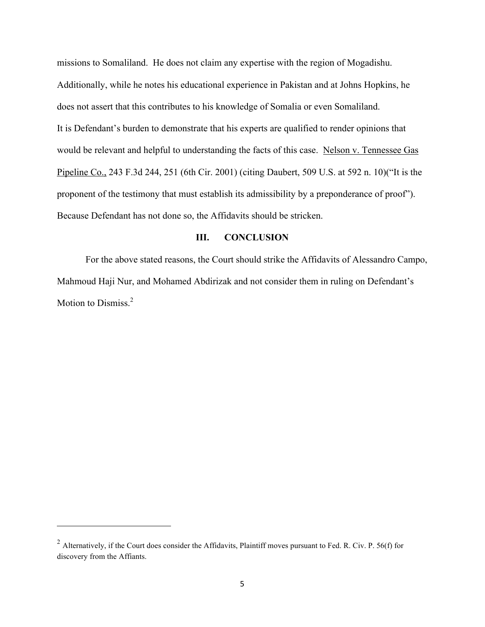missions to Somaliland. He does not claim any expertise with the region of Mogadishu. Additionally, while he notes his educational experience in Pakistan and at Johns Hopkins, he does not assert that this contributes to his knowledge of Somalia or even Somaliland. It is Defendant's burden to demonstrate that his experts are qualified to render opinions that would be relevant and helpful to understanding the facts of this case. Nelson v. Tennessee Gas Pipeline Co., 243 F.3d 244, 251 (6th Cir. 2001) (citing Daubert, 509 U.S. at 592 n. 10)("It is the proponent of the testimony that must establish its admissibility by a preponderance of proof"). Because Defendant has not done so, the Affidavits should be stricken.

# **III. CONCLUSION**

For the above stated reasons, the Court should strike the Affidavits of Alessandro Campo, Mahmoud Haji Nur, and Mohamed Abdirizak and not consider them in ruling on Defendant's Motion to Dismiss.<sup>2</sup>

<u> 1989 - Johann Stein, fransk politik (d. 1989)</u>

 $2$  Alternatively, if the Court does consider the Affidavits, Plaintiff moves pursuant to Fed. R. Civ. P. 56(f) for discovery from the Affiants.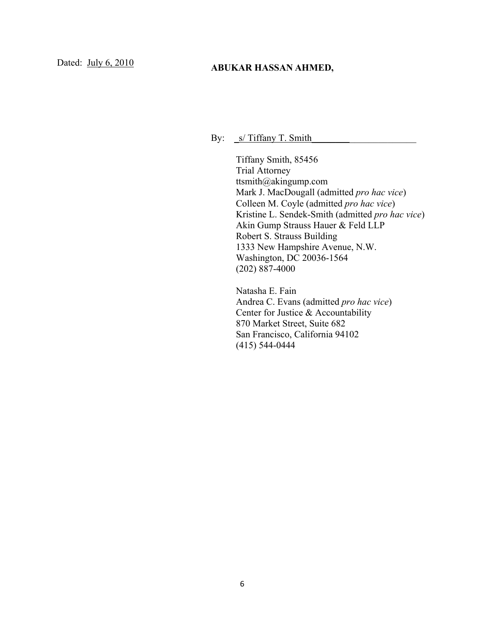# Dated: July 6, 2010<br>**ABUKAR HASSAN AHMED,**

By:  $\frac{\mathsf{S}}{\mathsf{S}}$  Tiffany T. Smith

Tiffany Smith, 85456 Trial Attorney ttsmith@akingump.com Mark J. MacDougall (admitted *pro hac vice*) Colleen M. Coyle (admitted *pro hac vice*) Kristine L. Sendek-Smith (admitted *pro hac vice*) Akin Gump Strauss Hauer & Feld LLP Robert S. Strauss Building 1333 New Hampshire Avenue, N.W. Washington, DC 20036-1564 (202) 887-4000

Natasha E. Fain Andrea C. Evans (admitted *pro hac vice*) Center for Justice & Accountability 870 Market Street, Suite 682 San Francisco, California 94102 (415) 544-0444